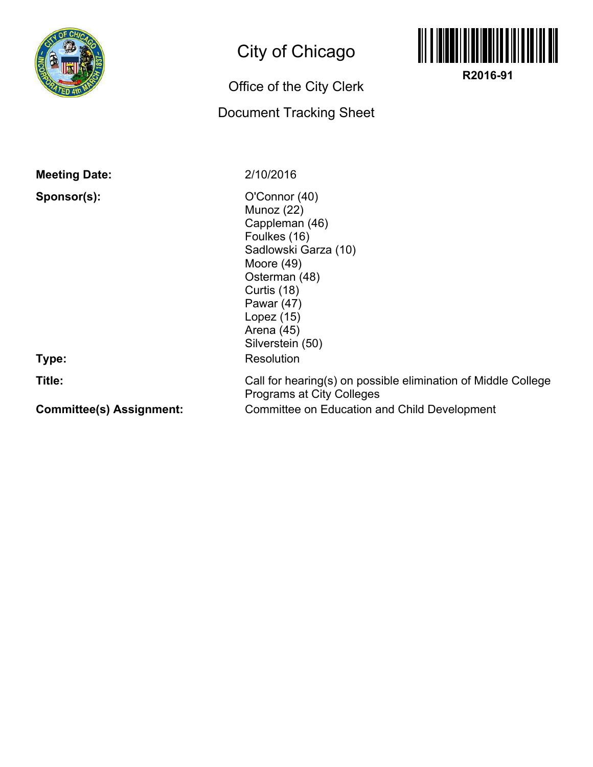

## City of Chicago

## Office of the City Clerk

## Document Tracking Sheet



**R2016-91**

**Meeting Date:**

**Sponsor(s):**

**Type:**

**Title:**

**Committee(s) Assignment:**

2/10/2016

O'Connor (40) Munoz (22) Cappleman (46) Foulkes (16) Sadlowski Garza (10) Moore (49) Osterman (48) Curtis (18) Pawar (47) Lopez (15) Arena (45) Silverstein (50) **Resolution** 

Committee on Education and Child Development Call for hearing(s) on possible elimination of Middle College Programs at City Colleges